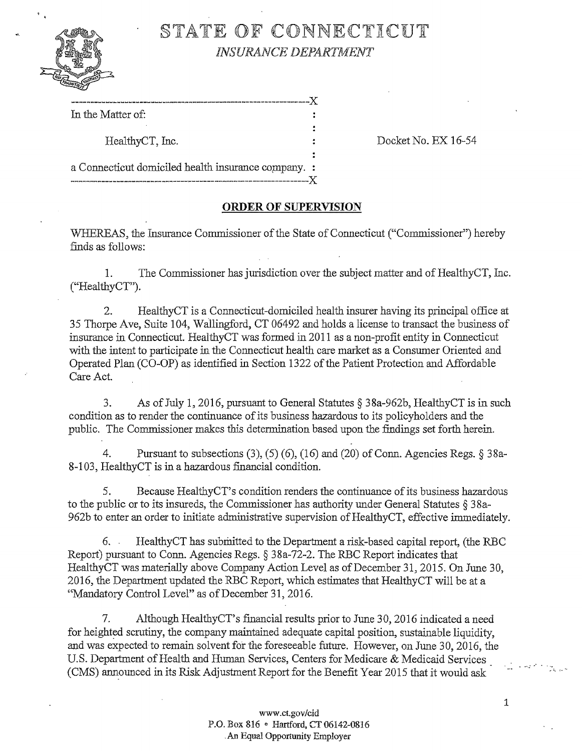

# §TATE OF CONNECTICUT **INSURANCE DEPARTMENT**

---------------------------------------------------------------]{ In the Matter of:

HealthyCT, Inc. Docket No. EJ{ 16-54

a Connecticut domiciled health insurance company. :

## **ORDER OF SUPERVISION**

---------------------------------------------------------------]{

WHEREAS, the Insurance Commissioner of the State of Connecticut ("Commissioner") hereby finds as follows:

1. The Commissioner has jurisdiction over the subject matter and of HealthyCT, Inc. ("HealthyCT").

2. HealthyCT is a Connecticut-domiciled health insurer having its principal office at 35 Thorpe Ave, Suite 104, Wallingford, CT 06492 and holds a license to transact the business of insurance in Connecticut. HealthyCT was formed in 2011 as a non-profit entity in Connecticut with the intent to participate in the Connecticut health care market as a Consumer Oriented and Operated Plan (CO-OP) as identified in Section 1322 of the Patient Protection and Affordable Care Act.

3. As ofJuly 1, 2016, pursuant to General Statutes § 3 8a-962b, HealthyCT is in such condition as to render the continuance of its business hazardous to its policyholders and the public. The Commissioner makes this determination based upon the findings set forth herein.

4. Pursuant to subsections (3), (5) (6), (16) and (20) of Conn. Agencies Regs.  $\S 38a$ -8-103, HealthyCT is in a hazardous financial condition.

5. Because Healthy CT's condition renders the continuance of its business hazardous to the public or to its insureds, the Commissioner has authority under General Statutes § 3 8a-962b to enter an order to initiate administrative supervision of HealthyCT, effective immediately.

6. Healthy CT has submitted to the Department a risk-based capital report, (the RBC Report) pursuant to Conn. Agencies Regs.§ 38a-72-2. The RBC Report indicates that HealthyCT was materially above Company Action Level as of December 31,2015. On June 30, 2016, the Department updated the RBC Report, which estimates that HealthyCT will be at a "Mandatory Control Level" as of December 31, 2016.

7. Although HealthyCT's fmancial results prior to June 30, 2016 indicated a need for heighted scrutiny, the company maintained adequate capital position, sustainable liquidity, and was expected to remain solvent for the foreseeable future. However, on June 30, 2016, the U.S. Department of Health and Human Services, Centers for Medicare & Medicaid Services ( CMS) announced in its Risk Adjustment Report for the Benefit Year 2015 that it would ask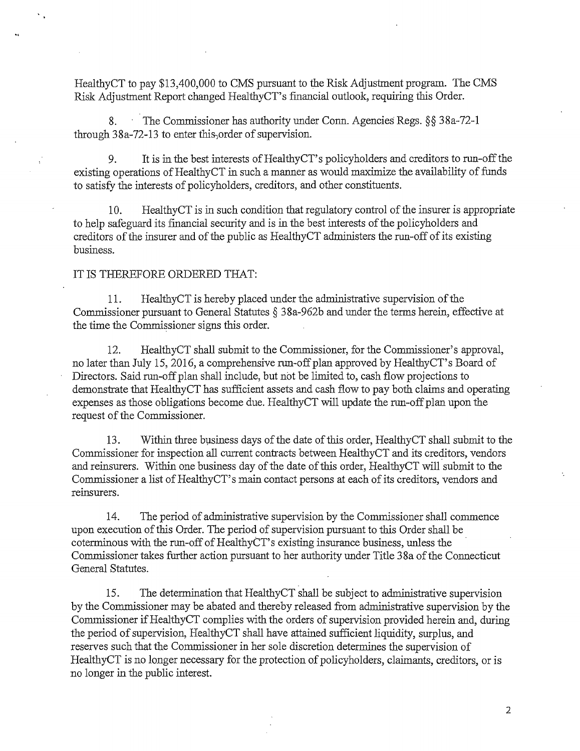HealthyCT to pay \$13,400,000 to CMS pursuant to the Risk Adjustment program. The CMS Risk Adjustment Report changed HealthyCT's fmancial outlook, requiring this Order.

8. The Commissioner has authority under Conn. Agencies Regs. §§ 38a-72-l through 38a-72-13 to enter this,order of supervision.

9. It is in the best interests of HealthyCT's policyholders and creditors to run-off the existing operations of HealthyCT in such a manner as would maximize the availability of funds to satisfy the interests of policyholders, creditors, and other constituents.

10. HealthyCT is in such condition that regulatory control of the insurer is appropriate to help safeguard its financial security and is in the best interests ofthe policyholders and creditors of the insurer and of the public as HealthyCT administers the run-off of its existing business.

#### IT IS THEREFORE ORDERED THAT:

11. HealthyCT is hereby placed under the administrative supervision of the Commissioner pursuant to General Statutes § 38a-962b and under the terms herein, effective at the time the Commissioner signs this order.

12. HealthyCT shall submit to the Commissioner, for the Commissioner's approval, no later than July 15, 2016, a comprehensive run-off plan approved by HealthyCT's Board of Directors. Said run-off plan shall include, but not be limited to, cash flow projections to demonstrate that HealthyCT has sufficient assets and cash flow to pay both claims and operating expenses as those obligations become due. HealthyCT will update the run-off plan upon the request of the Commissioner.

13. Within three business days of the date of this order, HealthyCT shall submit to the Commissioner for inspection all current contracts between HealthyCT and its creditors, vendors and reinsurers. Within one business day of the date of this order, HealthyCT will submit to the Commissioner a list of HealthyCT' s main contact persons at each of its creditors, vendors and reinsurers.

14. The period of administrative supervision by the Commissioner shall commence upon execution of this Order. The period of supervision pursuant to this Order shall be coterminous with the run-off of HealthyCT' s existing insurance business, unless the Commissioner takes further action pursuant to her authority under Title 38a of the Connecticut General Statutes.

15. The determination that HealthyCT shall be subject to administrative supervision by the Commissioner may be abated and thereby released from administrative supervision by the Commissioner if HealthyCT complies with the orders of supervision provided herein and, during the period of supervision, HealthyCT shall have attained sufficient liquidity, surplus, and reserves such that the Commissioner in her sole discretion determines the supervision of HealthyCT is no longer necessary for the protection of policyholders, claimants, creditors, or is no longer in the public interest.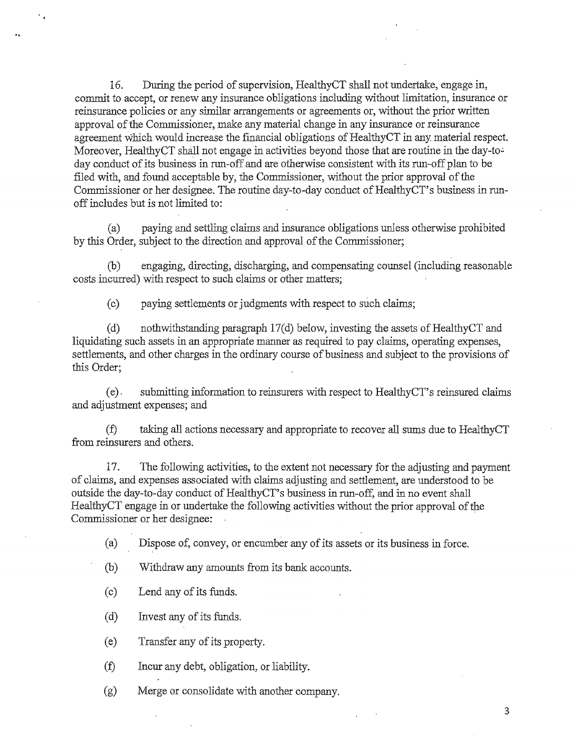16. During the period of supervision, HealthyCT shall not undertalce, engage in, commit to accept, or renew any insurance obligations including without limitation, insurance or reinsurance policies or any similar arrangements or agreements or, without the prior written approval of the Commissioner, make any material change in any insurance or reinsurance agreement which would increase the financial obligations of HealthyCT in any material respect. Moreover, HealthyCT shall not engage in activities beyond those that are routine in the day-today conduct of its business in run-off and are otherwise consistent with its run-off plan to be filed with, and found acceptable by, the Commissioner, without the prior approval of the Commissioner or her designee. The routine day-to-day conduct of HealthyCT's business in runoff includes but is not limited to:

(a) paying and settling claims and insurance obligations unless otherwise prohibited by this Order, subject to the direction and approval of the Commissioner;

(b) engaging, directing, discharging, and compensating counsel (including reasonable costs incurred) with respect to such claims or other matters;

(c) paying settlements or judgments with respect to such claims;

(d) nothwithstanding paragraph  $17(d)$  below, investing the assets of HealthyCT and liquidating such assets in an appropriate manner as required to pay claims, operating expenses, settlements, and other charges in the ordinary course of business and subject to the provisions of this Order;

(e) . submitting information to reinsurers with respect to HealthyCT' s reinsured claims and adjustment expenses; and

*(f)* taking all actions necessary and appropriate to recover all sums due to HealthyCT from reinsurers and others.

17. The following activities, to the extent not necessary for the adjusting and payment of claims, and expenses associated with claims adjusting and settlement, are understood to be outside the day-to-day conduct of HealthyCT's business in run-off, and in no event shall HealthyCT engage in or undertake the following activities without the prior approval of the Commissioner or her designee:

(a) Dispose of, convey, or encumber any of its assets or its business in force.

(b) Withdraw any amounts from its bank accounts.

(c) Lend any of its funds.

..

(d) Invest any of its funds.

(e) Transfer any of its property.

*(f)* Incur any debt, obligation, or liability.

(g) Merge or consolidate with another company.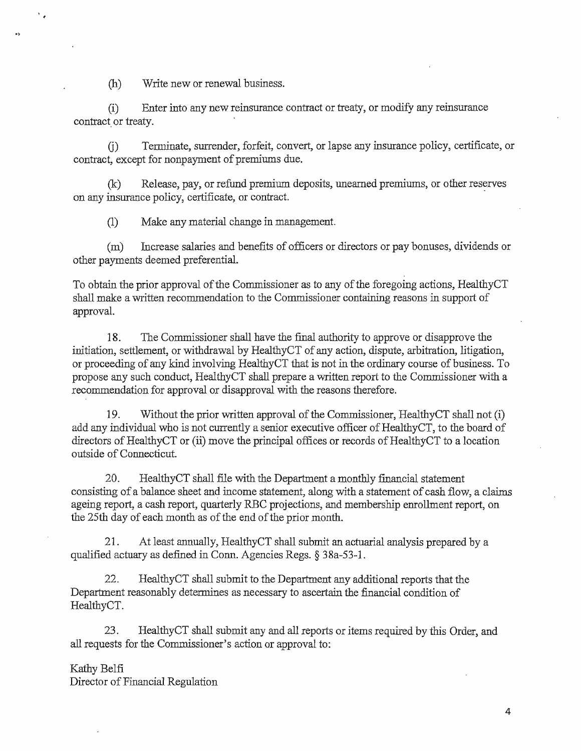(h) Write new or renewal business.

..

 $\mathbf{v}$ 

(i) Enter into any new reinsurance contract or treaty, or modify any reinsurance contract or treaty.

G) Terminate, surrender, forfeit, convert, or lapse any insurance policy, certificate, or contract, except for nonpayment of premiums due.

 $(k)$  Release, pay, or refund premium deposits, unearned premiums, or other reserves on any insurance policy, certificate, or contract.

(1) Make any material change in management.

(m) Increase salaries and benefits of officers or directors or pay bonuses, dividends or other payments deemed preferential.

To obtain the prior approval of the Commissioner as to any of the foregoing actions, HealthyCT shall make a written recommendation to the Commissioner containing reasons in support of approval.

18. The Commissioner shall have the final authority to approve or disapprove the initiation, settlement, or withdrawal by HealthyCT of any action, dispute, arbitration, litigation, or proceeding of any kind involving HealthyCT that is not in the ordinary course of business. To propose any such conduct, HealthyCT shall prepare a written report to the Commissioner with a recommendation for approval or disapproval with the reasons therefore.

19. Without the prior written approval of the Commissioner, HealthyCT shall not (i) add any individual who is not currently a senior executive officer of HealthyCT, to the board of directors of HealthyCT or (ii) move the principal offices or records of HealthyCT to a location outside of Connecticut.

20. HealthyCT shall file with the Department a monthly financial statement consisting of a balance sheet and income statement, along with a statement of cash flow, a claims ageing report, a cash report, quarterly RBC projections, and membership enrollment report, on the 25th day of each month as of the end of the prior month.

21. At least annually, HealthyCT shall submit an actuarial analysis prepared by a qualified actuary as defined in Conn. Agencies Regs.§ 38a-53-1.

22. HealthyCT shall submit to the Department any additional reports that the Department reasonably determines as necessary to ascertain the financial condition of HealthyCT.

23. HealthyCT shall submit any and all reports or items required by this Order, and all requests for the Commissioner's action or approval to:

### Kathy Belfi

Director of Financial Regulation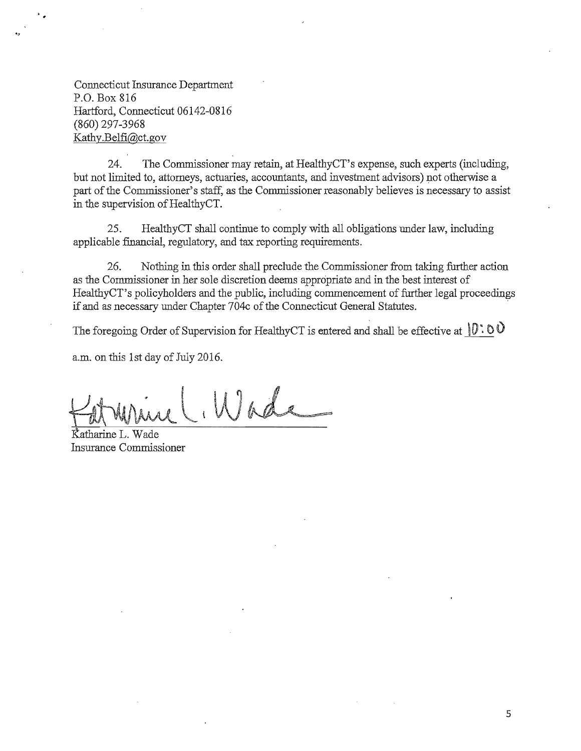Connecticut Insurance Department P.O. Box 816 Hartford, Connecticut 06142-0816 (860) 297-3968 Kathy .Belfi@ct. gov

..,

24. The Commissioner may retain, at HealthyCT's expense, such experts (including, but not limited to, attorneys, actuaries, accountants, and investment advisors) not otherwise a part of the Commissioner's staff, as the Commissioner reasonably believes is necessary to assist in the supervision of HealthyCT.

25. HealthyCT shall continue to comply with all obligations under law, including applicable financial, regulatory, and tax reporting requirements.

26. Nothing in this order shall preclude the Commissioner from taking further action as the Commissioner in her sole discretion deems appropriate and in the best interest of HealthyCT's policyholders and the public, including commencement of further legal proceedings if and as necessary under Chapter  $704c$  of the Connecticut General Statutes.

The foregoing Order of Supervision for HealthyCT is entered and shall be effective at  $[0:0]$ 

a.m. on this 1st day of July 2016.

Wade

Katharine L. Wade Insurance Commissioner